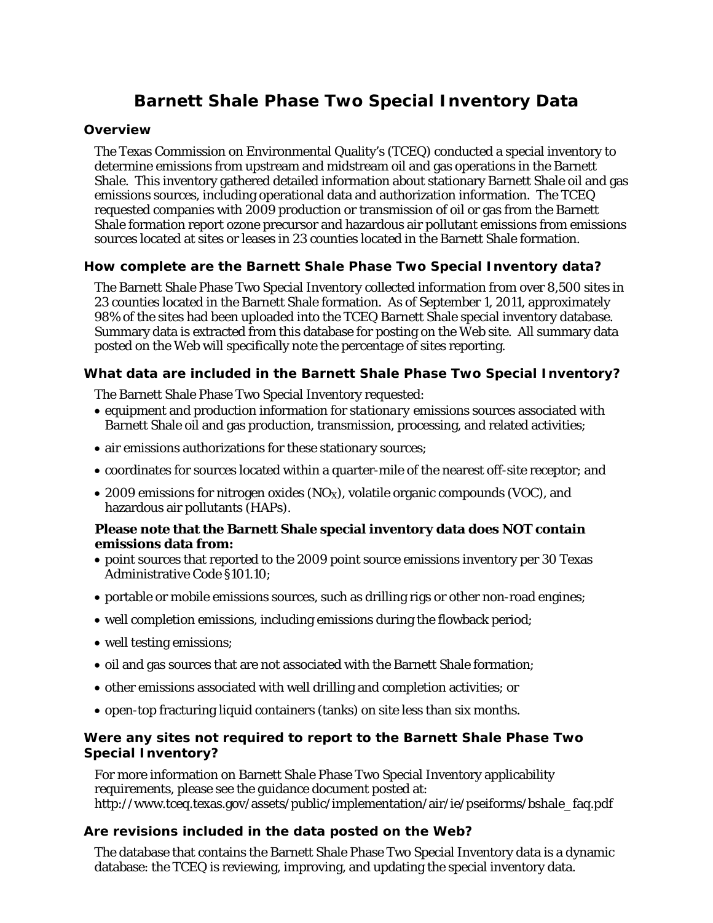# **Barnett Shale Phase Two Special Inventory Data**

#### **Overview**

The Texas Commission on Environmental Quality's (TCEQ) conducted a special inventory to determine emissions from upstream and midstream oil and gas operations in the Barnett Shale. This inventory gathered detailed information about stationary Barnett Shale oil and gas emissions sources, including operational data and authorization information. The TCEQ requested companies with 2009 production or transmission of oil or gas from the Barnett Shale formation report ozone precursor and hazardous air pollutant emissions from emissions sources located at sites or leases in 23 counties located in the Barnett Shale formation.

## **How complete are the Barnett Shale Phase Two Special Inventory data?**

The Barnett Shale Phase Two Special Inventory collected information from over 8,500 sites in 23 counties located in the Barnett Shale formation. As of September 1, 2011, approximately 98% of the sites had been uploaded into the TCEQ Barnett Shale special inventory database. Summary data is extracted from this database for posting on the Web site. All summary data posted on the Web will specifically note the percentage of sites reporting.

## **What data are included in the Barnett Shale Phase Two Special Inventory?**

The Barnett Shale Phase Two Special Inventory requested:

- equipment and production information for *stationary* emissions sources associated with Barnett Shale oil and gas production, transmission, processing, and related activities;
- air emissions authorizations for these stationary sources;
- coordinates for sources located within a quarter-mile of the nearest off-site receptor; and
- 2009 emissions for nitrogen oxides  $(NO<sub>X</sub>)$ , volatile organic compounds (VOC), and hazardous air pollutants (HAPs).

#### **Please note that the Barnett Shale special inventory data does NOT contain emissions data from:**

- point sources that reported to the 2009 point source emissions inventory per 30 Texas Administrative Code §101.10;
- portable or mobile emissions sources, such as drilling rigs or other non-road engines;
- well completion emissions, including emissions during the flowback period;
- well testing emissions;
- oil and gas sources that are not associated with the Barnett Shale formation;
- other emissions associated with well drilling and completion activities; or
- open-top fracturing liquid containers (tanks) on site less than six months.

# **Were any sites not required to report to the Barnett Shale Phase Two Special Inventory?**

For more information on Barnett Shale Phase Two Special Inventory applicability requirements, please see the guidance document posted at: http://www.tceq.texas.gov/assets/public/implementation/air/ie/pseiforms/bshale\_faq.pdf

#### **Are revisions included in the data posted on the Web?**

The database that contains the Barnett Shale Phase Two Special Inventory data is a dynamic database: the TCEQ is reviewing, improving, and updating the special inventory data.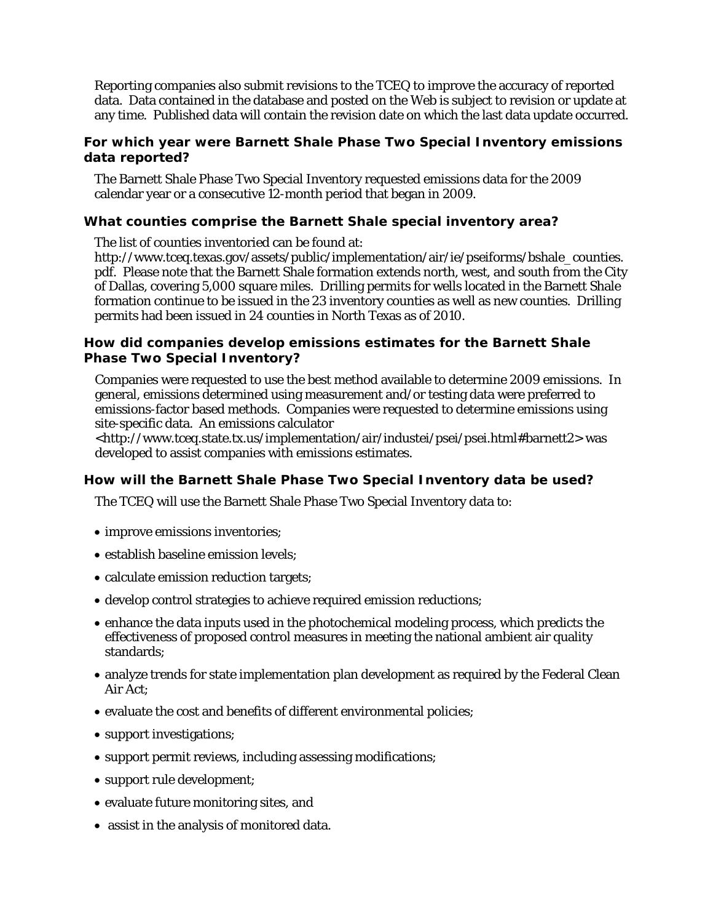Reporting companies also submit revisions to the TCEQ to improve the accuracy of reported data. Data contained in the database and posted on the Web is subject to revision or update at any time. Published data will contain the revision date on which the last data update occurred.

## **For which year were Barnett Shale Phase Two Special Inventory emissions data reported?**

The Barnett Shale Phase Two Special Inventory requested emissions data for the 2009 calendar year or a consecutive 12-month period that began in 2009.

# **What counties comprise the Barnett Shale special inventory area?**

The list of counties inventoried can be found at:

http://www.tceq.texas.gov/assets/public/implementation/air/ie/pseiforms/bshale\_counties. pdf. Please note that the Barnett Shale formation extends north, west, and south from the City of Dallas, covering 5,000 square miles. Drilling permits for wells located in the Barnett Shale formation continue to be issued in the 23 inventory counties as well as new counties. Drilling permits had been issued in 24 counties in North Texas as of 2010.

## **How did companies develop emissions estimates for the Barnett Shale Phase Two Special Inventory?**

Companies were requested to use the best method available to determine 2009 emissions. In general, emissions determined using measurement and/or testing data were preferred to emissions-factor based methods. Companies were requested to determine emissions using site-specific data. An emissions calculator

<http://www.tceq.state.tx.us/implementation/air/industei/psei/psei.html#barnett2> was developed to assist companies with emissions estimates.

#### **How will the Barnett Shale Phase Two Special Inventory data be used?**

The TCEQ will use the Barnett Shale Phase Two Special Inventory data to:

- improve emissions inventories;
- establish baseline emission levels;
- calculate emission reduction targets;
- develop control strategies to achieve required emission reductions;
- enhance the data inputs used in the photochemical modeling process, which predicts the effectiveness of proposed control measures in meeting the national ambient air quality standards;
- analyze trends for state implementation plan development as required by the Federal Clean Air Act;
- evaluate the cost and benefits of different environmental policies;
- support investigations;
- support permit reviews, including assessing modifications;
- support rule development;
- evaluate future monitoring sites, and
- assist in the analysis of monitored data.